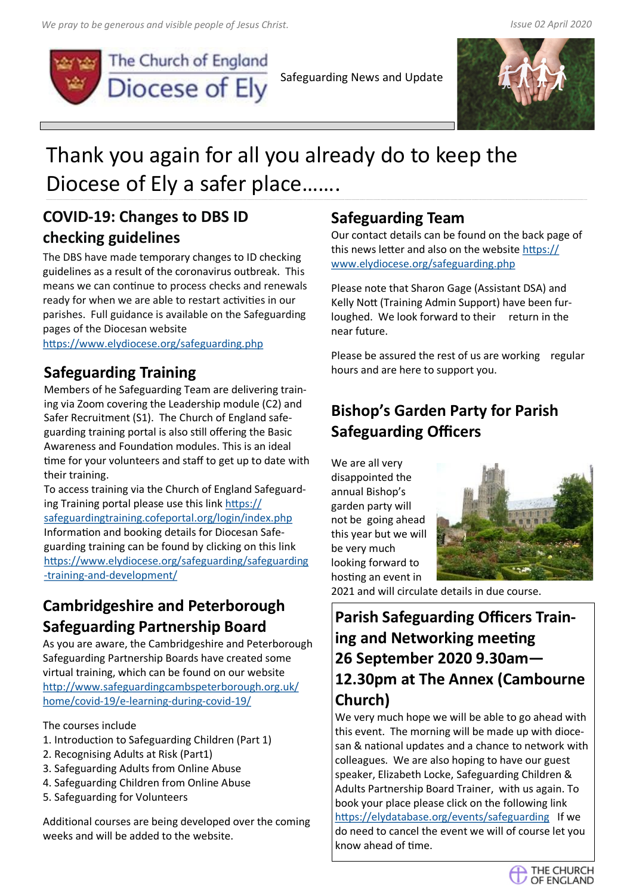

The Church of England Diocese of Ely

Safeguarding News and Update



# Thank you again for all you already do to keep the Diocese of Ely a safer place…….

### **COVID-19: Changes to DBS ID checking guidelines**

The DBS have made temporary changes to ID checking guidelines as a result of the coronavirus outbreak. This means we can continue to process checks and renewals ready for when we are able to restart activities in our parishes. Full guidance is available on the Safeguarding pages of the Diocesan website

<https://www.elydiocese.org/safeguarding.php>

### **Safeguarding Training**

Members of he Safeguarding Team are delivering training via Zoom covering the Leadership module (C2) and Safer Recruitment (S1). The Church of England safeguarding training portal is also still offering the Basic Awareness and Foundation modules. This is an ideal time for your volunteers and staff to get up to date with their training.

To access training via the Church of England Safeguarding Training portal please use this link [https://](https://safeguardingtraining.cofeportal.org/login/index.php) [safeguardingtraining.cofeportal.org/login/index.php](https://safeguardingtraining.cofeportal.org/login/index.php) Information and booking details for Diocesan Safeguarding training can be found by clicking on this link [https://www.elydiocese.org/safeguarding/safeguarding](https://www.elydiocese.org/safeguarding/safeguarding-training-and-development/) -training-and-[development/](https://www.elydiocese.org/safeguarding/safeguarding-training-and-development/)

# **Cambridgeshire and Peterborough Safeguarding Partnership Board**

As you are aware, the Cambridgeshire and Peterborough Safeguarding Partnership Boards have created some virtual training, which can be found on our website [http://www.safeguardingcambspeterborough.org.uk/](https://eur01.safelinks.protection.outlook.com/?url=http%3A%2F%2Fwww.safeguardingcambspeterborough.org.uk%2Fhome%2Fcovid-19%2Fe-learning-during-covid-19%2F&data=02%7C01%7Crebecca.boswell%40elydiocese.org%7Cf00ce967e3ef4345ae9d08d80ee03c01%7C8cefe2afc6f544c4bb) [home/covid](https://eur01.safelinks.protection.outlook.com/?url=http%3A%2F%2Fwww.safeguardingcambspeterborough.org.uk%2Fhome%2Fcovid-19%2Fe-learning-during-covid-19%2F&data=02%7C01%7Crebecca.boswell%40elydiocese.org%7Cf00ce967e3ef4345ae9d08d80ee03c01%7C8cefe2afc6f544c4bb)-19/e-learning-during-covid-19/

#### The courses include

- 1. Introduction to Safeguarding Children (Part 1)
- 2. Recognising Adults at Risk (Part1)
- 3. Safeguarding Adults from Online Abuse
- 4. Safeguarding Children from Online Abuse
- 5. Safeguarding for Volunteers

Additional courses are being developed over the coming weeks and will be added to the website.

#### **Safeguarding Team**

Our contact details can be found on the back page of this news letter and also on the website [https://](https://www.elydiocese.org/safeguarding.php) [www.elydiocese.org/safeguarding.php](https://www.elydiocese.org/safeguarding.php)

Please note that Sharon Gage (Assistant DSA) and Kelly Nott (Training Admin Support) have been furloughed. We look forward to their return in the near future.

Please be assured the rest of us are working regular hours and are here to support you.

# **Bishop's Garden Party for Parish Safeguarding Officers**

We are all very disappointed the annual Bishop's garden party will not be going ahead this year but we will be very much looking forward to hosting an event in



2021 and will circulate details in due course.

# **Parish Safeguarding Officers Training and Networking meeting 26 September 2020 9.30am— 12.30pm at The Annex (Cambourne Church)**

We very much hope we will be able to go ahead with this event. The morning will be made up with diocesan & national updates and a chance to network with colleagues. We are also hoping to have our guest speaker, Elizabeth Locke, Safeguarding Children & Adults Partnership Board Trainer, with us again. To book your place please click on the following link <https://elydatabase.org/events/safeguarding>If we do need to cancel the event we will of course let you know ahead of time.